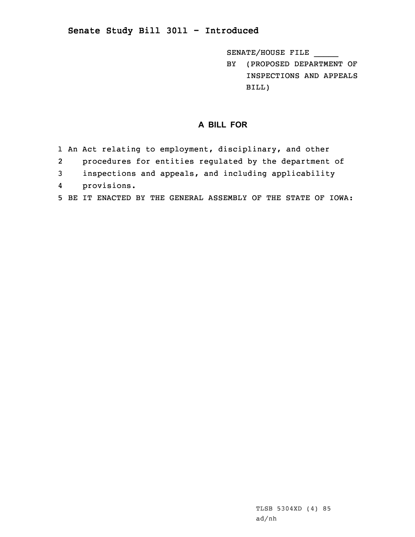## **Senate Study Bill 3011 - Introduced**

SENATE/HOUSE FILE \_\_\_\_\_

BY (PROPOSED DEPARTMENT OF INSPECTIONS AND APPEALS BILL)

## **A BILL FOR**

- 1 An Act relating to employment, disciplinary, and other
- 2procedures for entities regulated by the department of
- 3 inspections and appeals, and including applicability
- 4provisions.
- 5 BE IT ENACTED BY THE GENERAL ASSEMBLY OF THE STATE OF IOWA: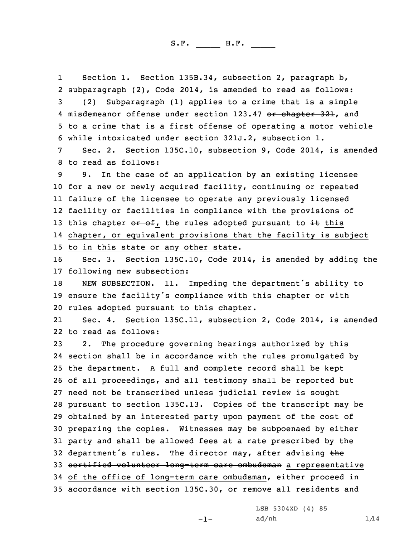1 Section 1. Section 135B.34, subsection 2, paragraph b, 2 subparagraph (2), Code 2014, is amended to read as follows: 3 (2) Subparagraph (1) applies to <sup>a</sup> crime that is <sup>a</sup> simple 4 misdemeanor offense under section 123.47 <del>or chapter 321</del>, and 5 to <sup>a</sup> crime that is <sup>a</sup> first offense of operating <sup>a</sup> motor vehicle 6 while intoxicated under section 321J.2, subsection 1.

7 Sec. 2. Section 135C.10, subsection 9, Code 2014, is amended 8 to read as follows:

 9. In the case of an application by an existing licensee for <sup>a</sup> new or newly acquired facility, continuing or repeated failure of the licensee to operate any previously licensed facility or facilities in compliance with the provisions of 13 this chapter  $o\mathbf{r}$  of, the rules adopted pursuant to  $\mathbf{it}$  this chapter, or equivalent provisions that the facility is subject to in this state or any other state.

16 Sec. 3. Section 135C.10, Code 2014, is amended by adding the 17 following new subsection:

<sup>18</sup> NEW SUBSECTION. 11. Impeding the department's ability to <sup>19</sup> ensure the facility's compliance with this chapter or with 20 rules adopted pursuant to this chapter.

21 Sec. 4. Section 135C.11, subsection 2, Code 2014, is amended 22 to read as follows:

 2. The procedure governing hearings authorized by this section shall be in accordance with the rules promulgated by the department. <sup>A</sup> full and complete record shall be kept of all proceedings, and all testimony shall be reported but need not be transcribed unless judicial review is sought pursuant to section 135C.13. Copies of the transcript may be obtained by an interested party upon payment of the cost of preparing the copies. Witnesses may be subpoenaed by either party and shall be allowed fees at <sup>a</sup> rate prescribed by the 32 department's rules. The director may, after advising the certified volunteer long-term care ombudsman <sup>a</sup> representative of the office of long-term care ombudsman, either proceed in accordance with section 135C.30, or remove all residents and

 $-1-$ 

LSB 5304XD (4) 85

 $ad/nh$   $1/14$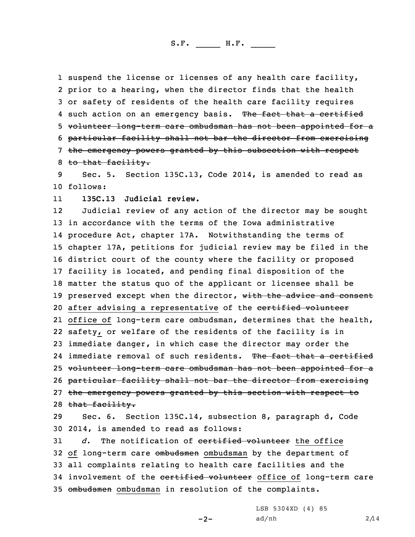1 suspend the license or licenses of any health care facility, prior to <sup>a</sup> hearing, when the director finds that the health or safety of residents of the health care facility requires 4 such action on an emergency basis. The fact that a certified volunteer long-term care ombudsman has not been appointed for <sup>a</sup> particular facility shall not bar the director from exercising the emergency powers granted by this subsection with respect 8 to that facility.

9 Sec. 5. Section 135C.13, Code 2014, is amended to read as 10 follows:

11**135C.13 Judicial review.**

12 Judicial review of any action of the director may be sought 13 in accordance with the terms of the Iowa administrative 14 procedure Act, chapter 17A. Notwithstanding the terms of 15 chapter 17A, petitions for judicial review may be filed in the 16 district court of the county where the facility or proposed 17 facility is located, and pending final disposition of the 18 matter the status quo of the applicant or licensee shall be 19 preserved except when the director, with the advice and consent 20 after advising a representative of the certified volunteer 21 office of long-term care ombudsman, determines that the health, 22 safety, or welfare of the residents of the facility is in 23 immediate danger, in which case the director may order the 24 immediate removal of such residents. The fact that a certified 25 volunteer long-term care ombudsman has not been appointed for a 26 particular facility shall not bar the director from exercising 27 the emergency powers granted by this section with respect to 28 that facility.

29 Sec. 6. Section 135C.14, subsection 8, paragraph d, Code 30 2014, is amended to read as follows:

31 *d.* The notification of certified volunteer the office 32 of long-term care ombudsmen ombudsman by the department of 33 all complaints relating to health care facilities and the 34 involvement of the certified volunteer office of long-term care 35 ombudsmen ombudsman in resolution of the complaints.

 $-2-$ 

LSB 5304XD (4) 85  $ad/nh$  2/14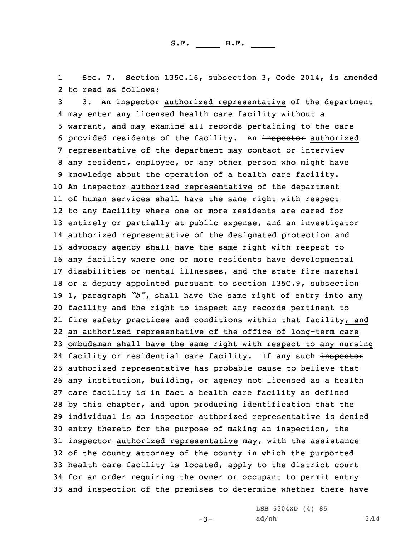1 Sec. 7. Section 135C.16, subsection 3, Code 2014, is amended 2 to read as follows:

3 3. An inspector authorized representative of the department may enter any licensed health care facility without <sup>a</sup> warrant, and may examine all records pertaining to the care 6 provided residents of the facility. An inspector authorized representative of the department may contact or interview any resident, employee, or any other person who might have knowledge about the operation of <sup>a</sup> health care facility. 10 An inspector authorized representative of the department of human services shall have the same right with respect to any facility where one or more residents are cared for 13 entirely or partially at public expense, and an investigator authorized representative of the designated protection and advocacy agency shall have the same right with respect to any facility where one or more residents have developmental disabilities or mental illnesses, and the state fire marshal or <sup>a</sup> deputy appointed pursuant to section 135C.9, subsection 1, paragraph *"b"*, shall have the same right of entry into any facility and the right to inspect any records pertinent to fire safety practices and conditions within that facility, and an authorized representative of the office of long-term care ombudsman shall have the same right with respect to any nursing 24 facility or residential care facility. If any such <del>inspector</del> authorized representative has probable cause to believe that any institution, building, or agency not licensed as <sup>a</sup> health care facility is in fact <sup>a</sup> health care facility as defined by this chapter, and upon producing identification that the 29 individual is an inspector authorized representative is denied entry thereto for the purpose of making an inspection, the 31 inspector authorized representative may, with the assistance of the county attorney of the county in which the purported health care facility is located, apply to the district court for an order requiring the owner or occupant to permit entry and inspection of the premises to determine whether there have

 $-3-$ 

LSB 5304XD (4) 85 ad/nh  $3/14$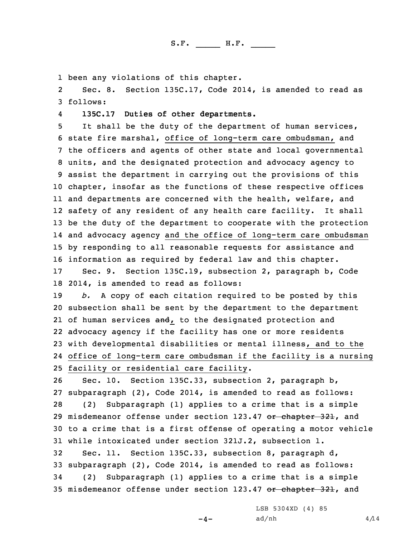1 been any violations of this chapter.

2 Sec. 8. Section 135C.17, Code 2014, is amended to read as 3 follows:

4**135C.17 Duties of other departments.**

 It shall be the duty of the department of human services, state fire marshal, office of long-term care ombudsman, and the officers and agents of other state and local governmental units, and the designated protection and advocacy agency to assist the department in carrying out the provisions of this chapter, insofar as the functions of these respective offices and departments are concerned with the health, welfare, and safety of any resident of any health care facility. It shall be the duty of the department to cooperate with the protection and advocacy agency and the office of long-term care ombudsman by responding to all reasonable requests for assistance and information as required by federal law and this chapter.

17 Sec. 9. Section 135C.19, subsection 2, paragraph b, Code 18 2014, is amended to read as follows:

 *b.* <sup>A</sup> copy of each citation required to be posted by this subsection shall be sent by the department to the department 21 of human services and, to the designated protection and advocacy agency if the facility has one or more residents with developmental disabilities or mental illness, and to the office of long-term care ombudsman if the facility is <sup>a</sup> nursing facility or residential care facility.

 Sec. 10. Section 135C.33, subsection 2, paragraph b, subparagraph (2), Code 2014, is amended to read as follows: (2) Subparagraph (1) applies to <sup>a</sup> crime that is <sup>a</sup> simple 29 misdemeanor offense under section 123.47 or chapter 321, and to <sup>a</sup> crime that is <sup>a</sup> first offense of operating <sup>a</sup> motor vehicle while intoxicated under section 321J.2, subsection 1.

 Sec. 11. Section 135C.33, subsection 8, paragraph d, subparagraph (2), Code 2014, is amended to read as follows: (2) Subparagraph (1) applies to <sup>a</sup> crime that is <sup>a</sup> simple 35 misdemeanor offense under section 123.47 or chapter 321, and

LSB 5304XD (4) 85

 $-4-$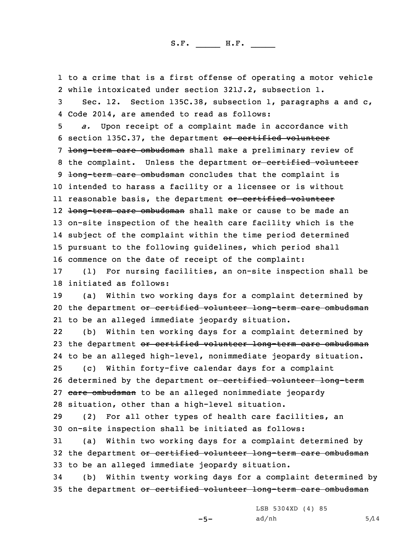1 to <sup>a</sup> crime that is <sup>a</sup> first offense of operating <sup>a</sup> motor vehicle 2 while intoxicated under section 321J.2, subsection 1.

3 Sec. 12. Section 135C.38, subsection 1, paragraphs <sup>a</sup> and c, 4 Code 2014, are amended to read as follows:

5 *a.* Upon receipt of <sup>a</sup> complaint made in accordance with 6 section 135C.37, the department or certified volunteer 7 <del>long-term care ombudsman</del> shall make a preliminary review of 8 the complaint. Unless the department or certified volunteer 9 <del>long-term care ombudsman</del> concludes that the complaint is 10 intended to harass <sup>a</sup> facility or <sup>a</sup> licensee or is without ll reasonable basis, the department <del>or certified volunteer</del> 12 <del>long-term care ombudsman</del> shall make or cause to be made an 13 on-site inspection of the health care facility which is the 14 subject of the complaint within the time period determined 15 pursuant to the following guidelines, which period shall 16 commence on the date of receipt of the complaint:

17 (1) For nursing facilities, an on-site inspection shall be 18 initiated as follows:

19 (a) Within two working days for <sup>a</sup> complaint determined by 20 the department or certified volunteer long-term care ombudsman 21 to be an alleged immediate jeopardy situation.

22 (b) Within ten working days for <sup>a</sup> complaint determined by 23 the department or certified volunteer long-term care ombudsman 24 to be an alleged high-level, nonimmediate jeopardy situation.

25 (c) Within forty-five calendar days for <sup>a</sup> complaint 26 determined by the department or certified volunteer long-term 27 care ombudsman to be an alleged nonimmediate jeopardy 28 situation, other than <sup>a</sup> high-level situation.

29 (2) For all other types of health care facilities, an 30 on-site inspection shall be initiated as follows:

31 (a) Within two working days for <sup>a</sup> complaint determined by 32 the department or certified volunteer long-term care ombudsman 33 to be an alleged immediate jeopardy situation.

34 (b) Within twenty working days for <sup>a</sup> complaint determined by 35 the department or certified volunteer long-term care ombudsman

LSB 5304XD (4) 85

-5-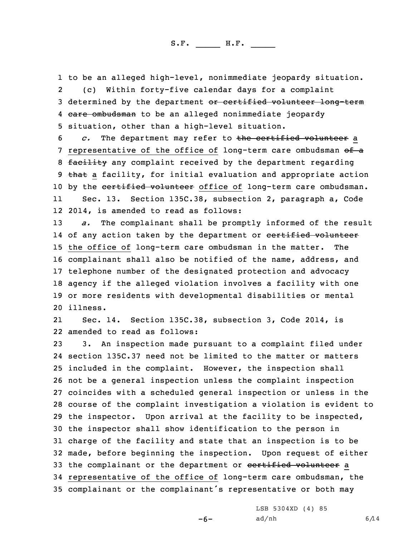1 to be an alleged high-level, nonimmediate jeopardy situation. 2 (c) Within forty-five calendar days for <sup>a</sup> complaint 3 determined by the department or certified volunteer long-term 4 <del>care ombudsman</del> to be an alleged nonimmediate jeopardy 5 situation, other than <sup>a</sup> high-level situation.

6 *c.* The department may refer to the certified volunteer <sup>a</sup> 7 representative of the office of long-term care ombudsman of a 8 facility any complaint received by the department regarding 9 that a facility, for initial evaluation and appropriate action 10 by the certified volunteer office of long-term care ombudsman. 11Sec. 13. Section 135C.38, subsection 2, paragraph a, Code

12 2014, is amended to read as follows:

 *a.* The complainant shall be promptly informed of the result 14 of any action taken by the department or <del>certified volunteer</del> the office of long-term care ombudsman in the matter. The complainant shall also be notified of the name, address, and telephone number of the designated protection and advocacy agency if the alleged violation involves <sup>a</sup> facility with one or more residents with developmental disabilities or mental 20 illness.

21 Sec. 14. Section 135C.38, subsection 3, Code 2014, is 22 amended to read as follows:

 3. An inspection made pursuant to <sup>a</sup> complaint filed under section 135C.37 need not be limited to the matter or matters included in the complaint. However, the inspection shall not be <sup>a</sup> general inspection unless the complaint inspection coincides with <sup>a</sup> scheduled general inspection or unless in the course of the complaint investigation <sup>a</sup> violation is evident to the inspector. Upon arrival at the facility to be inspected, the inspector shall show identification to the person in charge of the facility and state that an inspection is to be made, before beginning the inspection. Upon request of either 33 the complainant or the department or certified volunteer a representative of the office of long-term care ombudsman, the complainant or the complainant's representative or both may

LSB 5304XD (4) 85

-6-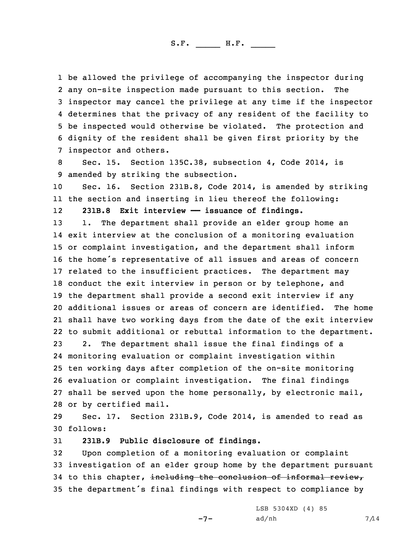be allowed the privilege of accompanying the inspector during any on-site inspection made pursuant to this section. The inspector may cancel the privilege at any time if the inspector determines that the privacy of any resident of the facility to be inspected would otherwise be violated. The protection and dignity of the resident shall be given first priority by the inspector and others.

8 Sec. 15. Section 135C.38, subsection 4, Code 2014, is 9 amended by striking the subsection.

10 Sec. 16. Section 231B.8, Code 2014, is amended by striking 11 the section and inserting in lieu thereof the following:

12**231B.8 Exit interview —— issuance of findings.**

 1. The department shall provide an elder group home an exit interview at the conclusion of <sup>a</sup> monitoring evaluation or complaint investigation, and the department shall inform the home's representative of all issues and areas of concern related to the insufficient practices. The department may conduct the exit interview in person or by telephone, and the department shall provide <sup>a</sup> second exit interview if any additional issues or areas of concern are identified. The home shall have two working days from the date of the exit interview to submit additional or rebuttal information to the department.

 2. The department shall issue the final findings of <sup>a</sup> monitoring evaluation or complaint investigation within ten working days after completion of the on-site monitoring evaluation or complaint investigation. The final findings shall be served upon the home personally, by electronic mail, or by certified mail.

29 Sec. 17. Section 231B.9, Code 2014, is amended to read as 30 follows:

31 **231B.9 Public disclosure of findings.**

 Upon completion of <sup>a</sup> monitoring evaluation or complaint investigation of an elder group home by the department pursuant 34 to this chapter, including the conclusion of informal review, the department's final findings with respect to compliance by

 $-7-$ 

LSB 5304XD (4) 85  $ad/nh$  7/14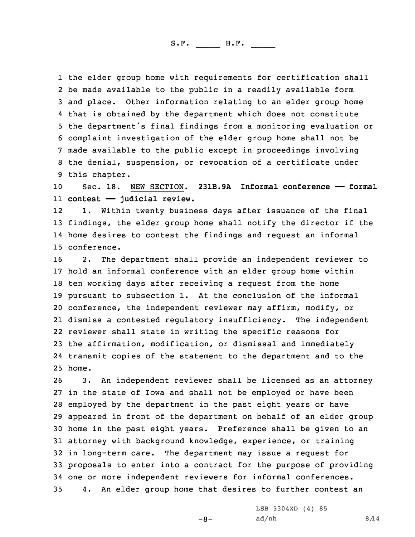the elder group home with requirements for certification shall be made available to the public in <sup>a</sup> readily available form and place. Other information relating to an elder group home that is obtained by the department which does not constitute the department's final findings from <sup>a</sup> monitoring evaluation or complaint investigation of the elder group home shall not be made available to the public except in proceedings involving the denial, suspension, or revocation of <sup>a</sup> certificate under this chapter.

10 Sec. 18. NEW SECTION. **231B.9A Informal conference —— formal** 11 **contest —— judicial review.**

12 1. Within twenty business days after issuance of the final 13 findings, the elder group home shall notify the director if the 14 home desires to contest the findings and request an informal 15 conference.

 2. The department shall provide an independent reviewer to hold an informal conference with an elder group home within ten working days after receiving <sup>a</sup> request from the home pursuant to subsection 1. At the conclusion of the informal conference, the independent reviewer may affirm, modify, or dismiss <sup>a</sup> contested regulatory insufficiency. The independent reviewer shall state in writing the specific reasons for the affirmation, modification, or dismissal and immediately transmit copies of the statement to the department and to the 25 home.

 3. An independent reviewer shall be licensed as an attorney in the state of Iowa and shall not be employed or have been employed by the department in the past eight years or have appeared in front of the department on behalf of an elder group home in the past eight years. Preference shall be given to an attorney with background knowledge, experience, or training in long-term care. The department may issue <sup>a</sup> request for proposals to enter into <sup>a</sup> contract for the purpose of providing one or more independent reviewers for informal conferences. 4. An elder group home that desires to further contest an

-8-

LSB 5304XD (4) 85  $ad/nh$  8/14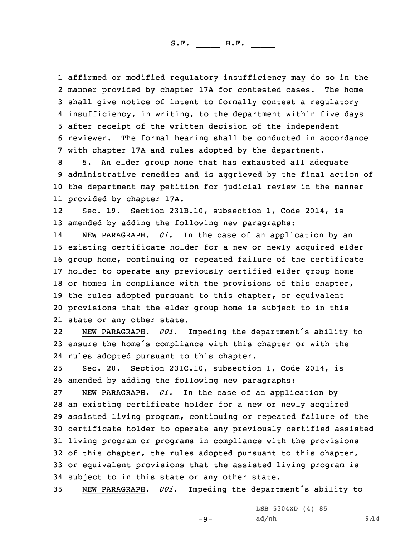affirmed or modified regulatory insufficiency may do so in the manner provided by chapter 17A for contested cases. The home shall give notice of intent to formally contest <sup>a</sup> regulatory insufficiency, in writing, to the department within five days after receipt of the written decision of the independent reviewer. The formal hearing shall be conducted in accordance with chapter 17A and rules adopted by the department.

 5. An elder group home that has exhausted all adequate administrative remedies and is aggrieved by the final action of the department may petition for judicial review in the manner provided by chapter 17A.

12 Sec. 19. Section 231B.10, subsection 1, Code 2014, is 13 amended by adding the following new paragraphs:

14 NEW PARAGRAPH. *0i.* In the case of an application by an existing certificate holder for <sup>a</sup> new or newly acquired elder group home, continuing or repeated failure of the certificate holder to operate any previously certified elder group home 18 or homes in compliance with the provisions of this chapter, the rules adopted pursuant to this chapter, or equivalent provisions that the elder group home is subject to in this state or any other state.

22 NEW PARAGRAPH. *00i.* Impeding the department's ability to <sup>23</sup> ensure the home's compliance with this chapter or with the 24 rules adopted pursuant to this chapter.

25 Sec. 20. Section 231C.10, subsection 1, Code 2014, is 26 amended by adding the following new paragraphs:

 NEW PARAGRAPH. *0i.* In the case of an application by an existing certificate holder for <sup>a</sup> new or newly acquired assisted living program, continuing or repeated failure of the certificate holder to operate any previously certified assisted living program or programs in compliance with the provisions of this chapter, the rules adopted pursuant to this chapter, or equivalent provisions that the assisted living program is subject to in this state or any other state.

<sup>35</sup> NEW PARAGRAPH. *00i.* Impeding the department's ability to

 $-9-$ 

LSB 5304XD (4) 85  $ad/nh$  9/14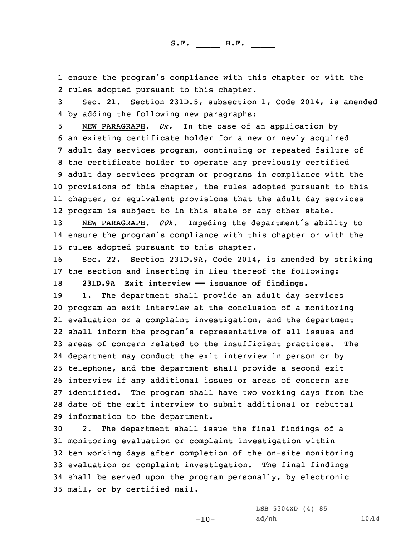1 ensure the program's compliance with this chapter or with the 2 rules adopted pursuant to this chapter.

3 Sec. 21. Section 231D.5, subsection 1, Code 2014, is amended 4 by adding the following new paragraphs:

 NEW PARAGRAPH. *0k.* In the case of an application by an existing certificate holder for <sup>a</sup> new or newly acquired adult day services program, continuing or repeated failure of the certificate holder to operate any previously certified adult day services program or programs in compliance with the provisions of this chapter, the rules adopted pursuant to this chapter, or equivalent provisions that the adult day services program is subject to in this state or any other state.

<sup>13</sup> NEW PARAGRAPH. *00k.* Impeding the department's ability to 14 ensure the program's compliance with this chapter or with the 15 rules adopted pursuant to this chapter.

16 Sec. 22. Section 231D.9A, Code 2014, is amended by striking 17 the section and inserting in lieu thereof the following: 18 **231D.9A Exit interview —— issuance of findings.**

 1. The department shall provide an adult day services program an exit interview at the conclusion of <sup>a</sup> monitoring evaluation or <sup>a</sup> complaint investigation, and the department shall inform the program's representative of all issues and

 areas of concern related to the insufficient practices. The department may conduct the exit interview in person or by telephone, and the department shall provide <sup>a</sup> second exit interview if any additional issues or areas of concern are identified. The program shall have two working days from the date of the exit interview to submit additional or rebuttal information to the department.

 2. The department shall issue the final findings of <sup>a</sup> monitoring evaluation or complaint investigation within ten working days after completion of the on-site monitoring evaluation or complaint investigation. The final findings shall be served upon the program personally, by electronic mail, or by certified mail.

> LSB 5304XD (4) 85 ad/nh  $10/14$

-10-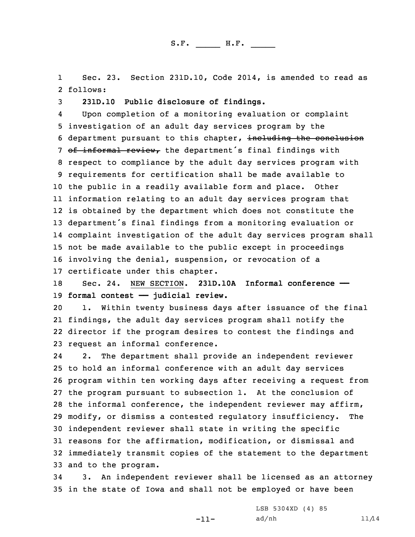1 Sec. 23. Section 231D.10, Code 2014, is amended to read as 2 follows:

3 **231D.10 Public disclosure of findings.**

4 Upon completion of <sup>a</sup> monitoring evaluation or complaint investigation of an adult day services program by the department pursuant to this chapter, including the conclusion 7 of informal review, the department's final findings with respect to compliance by the adult day services program with requirements for certification shall be made available to the public in <sup>a</sup> readily available form and place. Other information relating to an adult day services program that is obtained by the department which does not constitute the department's final findings from <sup>a</sup> monitoring evaluation or complaint investigation of the adult day services program shall not be made available to the public except in proceedings involving the denial, suspension, or revocation of <sup>a</sup> certificate under this chapter.

18 Sec. 24. NEW SECTION. **231D.10A Informal conference ——** 19 **formal contest —— judicial review.**

 1. Within twenty business days after issuance of the final findings, the adult day services program shall notify the director if the program desires to contest the findings and request an informal conference.

24 2. The department shall provide an independent reviewer to hold an informal conference with an adult day services program within ten working days after receiving <sup>a</sup> request from the program pursuant to subsection 1. At the conclusion of the informal conference, the independent reviewer may affirm, modify, or dismiss <sup>a</sup> contested regulatory insufficiency. The independent reviewer shall state in writing the specific reasons for the affirmation, modification, or dismissal and immediately transmit copies of the statement to the department and to the program.

34 3. An independent reviewer shall be licensed as an attorney 35 in the state of Iowa and shall not be employed or have been

-11-

LSB 5304XD (4) 85  $ad/nh$  11/14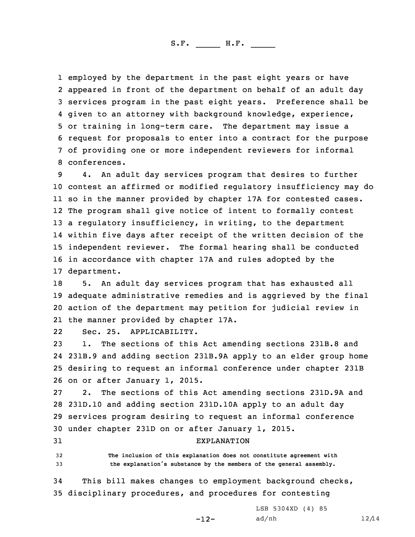employed by the department in the past eight years or have appeared in front of the department on behalf of an adult day services program in the past eight years. Preference shall be given to an attorney with background knowledge, experience, or training in long-term care. The department may issue <sup>a</sup> request for proposals to enter into <sup>a</sup> contract for the purpose of providing one or more independent reviewers for informal conferences.

 4. An adult day services program that desires to further contest an affirmed or modified regulatory insufficiency may do so in the manner provided by chapter 17A for contested cases. The program shall give notice of intent to formally contest <sup>a</sup> regulatory insufficiency, in writing, to the department within five days after receipt of the written decision of the independent reviewer. The formal hearing shall be conducted in accordance with chapter 17A and rules adopted by the department.

 5. An adult day services program that has exhausted all adequate administrative remedies and is aggrieved by the final action of the department may petition for judicial review in the manner provided by chapter 17A.

22Sec. 25. APPLICABILITY.

 1. The sections of this Act amending sections 231B.8 and 231B.9 and adding section 231B.9A apply to an elder group home desiring to request an informal conference under chapter 231B on or after January 1, 2015.

 2. The sections of this Act amending sections 231D.9A and 231D.10 and adding section 231D.10A apply to an adult day services program desiring to request an informal conference under chapter 231D on or after January 1, 2015.

31 EXPLANATION

32 **The inclusion of this explanation does not constitute agreement with** <sup>33</sup> **the explanation's substance by the members of the general assembly.**

34 This bill makes changes to employment background checks, 35 disciplinary procedures, and procedures for contesting

 $-12-$ 

LSB 5304XD (4) 85 ad/nh  $12/14$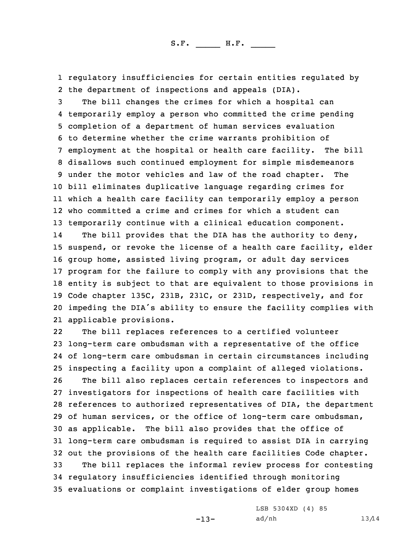1 regulatory insufficiencies for certain entities regulated by 2 the department of inspections and appeals (DIA).

 The bill changes the crimes for which <sup>a</sup> hospital can temporarily employ <sup>a</sup> person who committed the crime pending completion of <sup>a</sup> department of human services evaluation to determine whether the crime warrants prohibition of employment at the hospital or health care facility. The bill disallows such continued employment for simple misdemeanors under the motor vehicles and law of the road chapter. The bill eliminates duplicative language regarding crimes for which <sup>a</sup> health care facility can temporarily employ <sup>a</sup> person who committed <sup>a</sup> crime and crimes for which <sup>a</sup> student can temporarily continue with <sup>a</sup> clinical education component.

14The bill provides that the DIA has the authority to deny, suspend, or revoke the license of <sup>a</sup> health care facility, elder group home, assisted living program, or adult day services program for the failure to comply with any provisions that the entity is subject to that are equivalent to those provisions in Code chapter 135C, 231B, 231C, or 231D, respectively, and for impeding the DIA's ability to ensure the facility complies with applicable provisions.

22 The bill replaces references to <sup>a</sup> certified volunteer long-term care ombudsman with <sup>a</sup> representative of the office of long-term care ombudsman in certain circumstances including inspecting <sup>a</sup> facility upon <sup>a</sup> complaint of alleged violations. The bill also replaces certain references to inspectors and investigators for inspections of health care facilities with references to authorized representatives of DIA, the department of human services, or the office of long-term care ombudsman, as applicable. The bill also provides that the office of long-term care ombudsman is required to assist DIA in carrying out the provisions of the health care facilities Code chapter. The bill replaces the informal review process for contesting regulatory insufficiencies identified through monitoring evaluations or complaint investigations of elder group homes

-13-

LSB 5304XD (4) 85 ad/nh  $13/14$